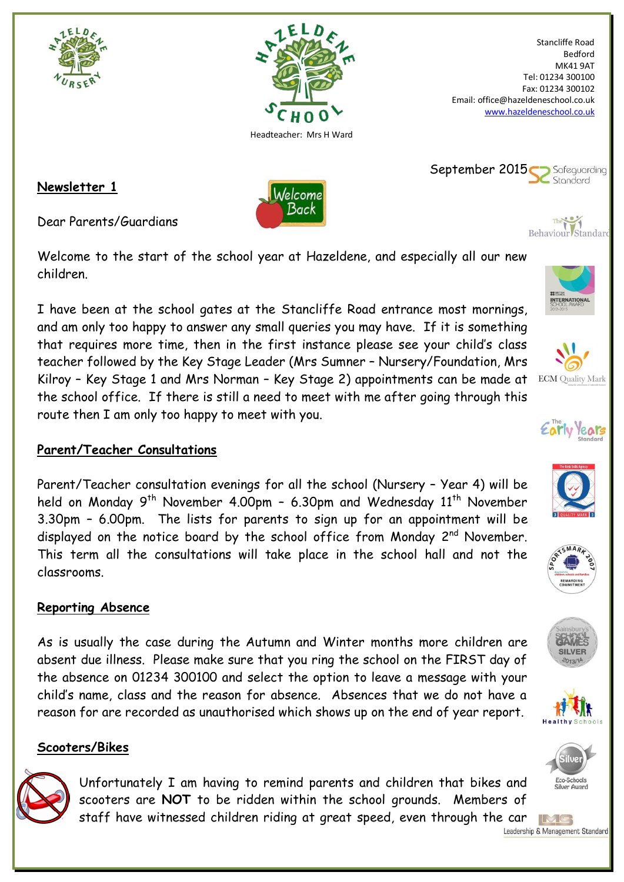



Welcome Back

Stancliffe Road Bedford MK41 9AT Tel: 01234 300100 Fax: 01234 300102 Email: office@hazeldeneschool.co.uk [www.hazeldeneschool.co.uk](http://www.hazeldeneschool.co.uk/)

**Newsletter 1**

Dear Parents/Guardians

Welcome to the start of the school year at Hazeldene, and especially all our new children.

I have been at the school gates at the Stancliffe Road entrance most mornings, and am only too happy to answer any small queries you may have. If it is something that requires more time, then in the first instance please see your child's class teacher followed by the Key Stage Leader (Mrs Sumner – Nursery/Foundation, Mrs Kilroy – Key Stage 1 and Mrs Norman – Key Stage 2) appointments can be made at the school office. If there is still a need to meet with me after going through this route then I am only too happy to meet with you.

## **Parent/Teacher Consultations**

Parent/Teacher consultation evenings for all the school (Nursery – Year 4) will be held on Monday 9<sup>th</sup> November 4.00pm - 6.30pm and Wednesday 11<sup>th</sup> November 3.30pm – 6.00pm. The lists for parents to sign up for an appointment will be displayed on the notice board by the school office from Monday 2<sup>nd</sup> November. This term all the consultations will take place in the school hall and not the classrooms.

# **Reporting Absence**

As is usually the case during the Autumn and Winter months more children are absent due illness. Please make sure that you ring the school on the FIRST day of the absence on 01234 300100 and select the option to leave a message with your child's name, class and the reason for absence. Absences that we do not have a reason for are recorded as unauthorised which shows up on the end of year report.

## **Scooters/Bikes**



 $\sum$  Safeguarding September 2015 Standard



**INTERNATION** 

Behaviour Standard



**ECM** Quality Mark













IMG Leadership & Management Standard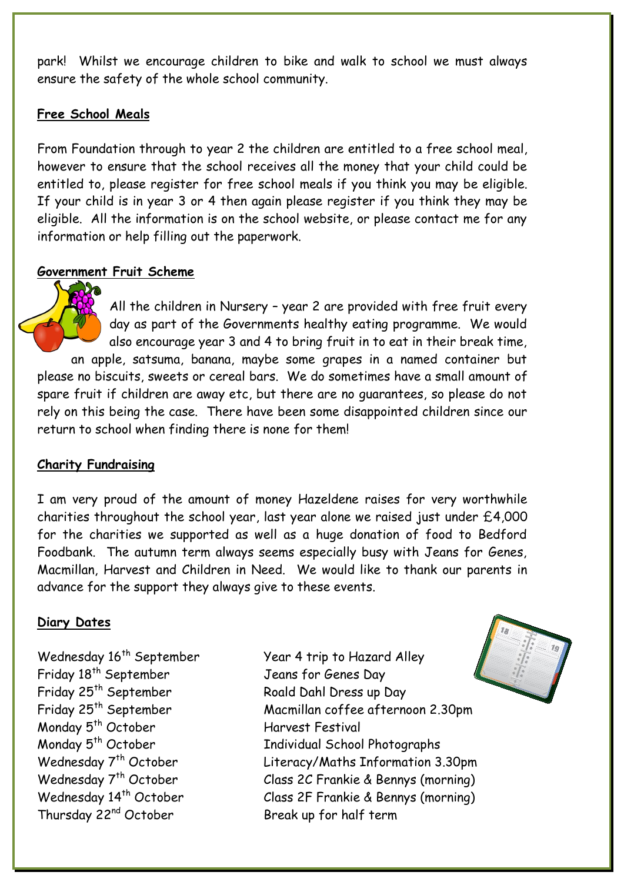park! Whilst we encourage children to bike and walk to school we must always ensure the safety of the whole school community.

### **Free School Meals**

From Foundation through to year 2 the children are entitled to a free school meal, however to ensure that the school receives all the money that your child could be entitled to, please register for free school meals if you think you may be eligible. If your child is in year 3 or 4 then again please register if you think they may be eligible. All the information is on the school website, or please contact me for any information or help filling out the paperwork.

### **Government Fruit Scheme**

All the children in Nursery – year 2 are provided with free fruit every day as part of the Governments healthy eating programme. We would also encourage year 3 and 4 to bring fruit in to eat in their break time, an apple, satsuma, banana, maybe some grapes in a named container but please no biscuits, sweets or cereal bars. We do sometimes have a small amount of spare fruit if children are away etc, but there are no guarantees, so please do not rely on this being the case. There have been some disappointed children since our return to school when finding there is none for them!

#### **Charity Fundraising**

I am very proud of the amount of money Hazeldene raises for very worthwhile charities throughout the school year, last year alone we raised just under £4,000 for the charities we supported as well as a huge donation of food to Bedford Foodbank. The autumn term always seems especially busy with Jeans for Genes, Macmillan, Harvest and Children in Need. We would like to thank our parents in advance for the support they always give to these events.

#### **Diary Dates**

Friday 18<sup>th</sup> September Friday 25<sup>th</sup> September Friday 25<sup>th</sup> September Monday 5<sup>th</sup> October Harvest Festival Monday 5<sup>th</sup> October Thursday 22<sup>nd</sup> October Break up for half term

Wednesday 16<sup>th</sup> September Year 4 trip to Hazard Alley Jeans for Genes Day Roald Dahl Dress up Day Macmillan coffee afternoon 2.30pm Individual School Photographs Wednesday 7<sup>th</sup> October Literacy/Maths Information 3.30pm Wednesday 7<sup>th</sup> October Class 2C Frankie & Bennys (morning) Wednesday 14<sup>th</sup> October Class 2F Frankie & Bennys (morning)